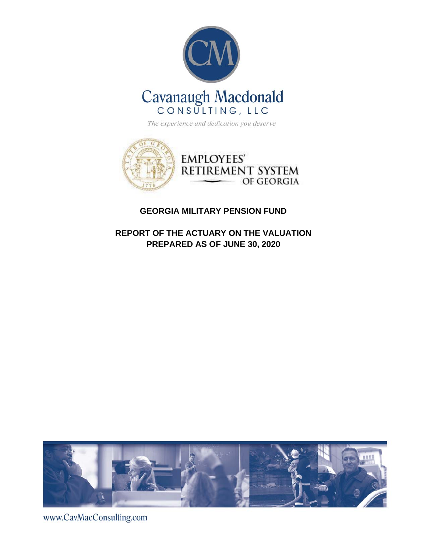



### **GEORGIA MILITARY PENSION FUND**

**REPORT OF THE ACTUARY ON THE VALUATION PREPARED AS OF JUNE 30, 2020**



www.CavMacConsulting.com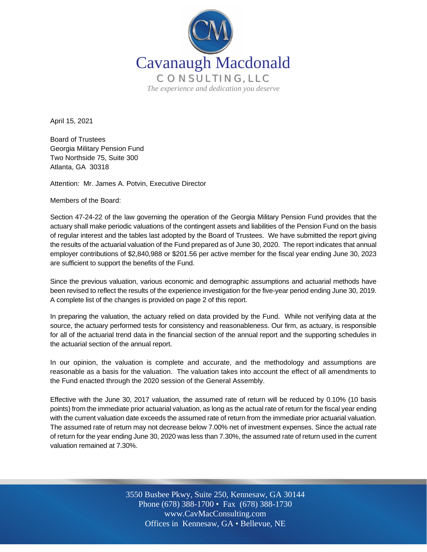

April 15, 2021

Board of Trustees Georgia Military Pension Fund Two Northside 75, Suite 300 Atlanta, GA 30318

Attention: Mr. James A. Potvin, Executive Director

Members of the Board:

Section 47-24-22 of the law governing the operation of the Georgia Military Pension Fund provides that the actuary shall make periodic valuations of the contingent assets and liabilities of the Pension Fund on the basis of regular interest and the tables last adopted by the Board of Trustees. We have submitted the report giving the results of the actuarial valuation of the Fund prepared as of June 30, 2020. The report indicates that annual employer contributions of \$2,840,988 or \$201.56 per active member for the fiscal year ending June 30, 2023 are sufficient to support the benefits of the Fund.

Since the previous valuation, various economic and demographic assumptions and actuarial methods have been revised to reflect the results of the experience investigation for the five-year period ending June 30, 2019. A complete list of the changes is provided on page 2 of this report.

In preparing the valuation, the actuary relied on data provided by the Fund. While not verifying data at the source, the actuary performed tests for consistency and reasonableness. Our firm, as actuary, is responsible for all of the actuarial trend data in the financial section of the annual report and the supporting schedules in the actuarial section of the annual report.

In our opinion, the valuation is complete and accurate, and the methodology and assumptions are reasonable as a basis for the valuation. The valuation takes into account the effect of all amendments to the Fund enacted through the 2020 session of the General Assembly.

Effective with the June 30, 2017 valuation, the assumed rate of return will be reduced by 0.10% (10 basis points) from the immediate prior actuarial valuation, as long as the actual rate of return for the fiscal year ending with the current valuation date exceeds the assumed rate of return from the immediate prior actuarial valuation. The assumed rate of return may not decrease below 7.00% net of investment expenses. Since the actual rate of return for the year ending June 30, 2020 was less than 7.30%, the assumed rate of return used in the current valuation remained at 7.30%.

> Off Offices in Kennesaw, GA • Bellevue, NE 3550 Busbee Pkwy, Suite 250, Kennesaw, GA 30144 Phone (678) 388-1700 • Fax (678) 388-1730 www.CavMacConsulting.com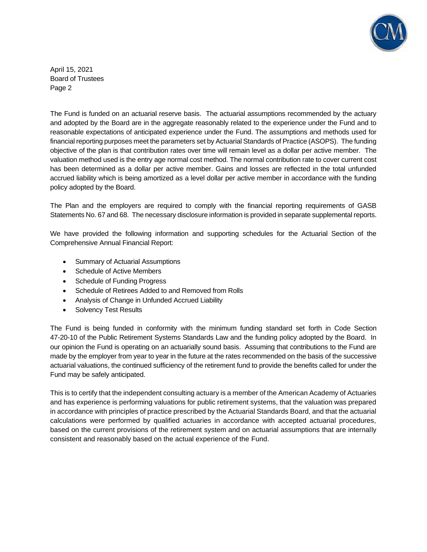

April 15, 2021 Board of Trustees Page 2

The Fund is funded on an actuarial reserve basis. The actuarial assumptions recommended by the actuary and adopted by the Board are in the aggregate reasonably related to the experience under the Fund and to reasonable expectations of anticipated experience under the Fund. The assumptions and methods used for financial reporting purposes meet the parameters set by Actuarial Standards of Practice (ASOPS). The funding objective of the plan is that contribution rates over time will remain level as a dollar per active member. The valuation method used is the entry age normal cost method. The normal contribution rate to cover current cost has been determined as a dollar per active member. Gains and losses are reflected in the total unfunded accrued liability which is being amortized as a level dollar per active member in accordance with the funding policy adopted by the Board.

The Plan and the employers are required to comply with the financial reporting requirements of GASB Statements No. 67 and 68. The necessary disclosure information is provided in separate supplemental reports.

We have provided the following information and supporting schedules for the Actuarial Section of the Comprehensive Annual Financial Report:

- Summary of Actuarial Assumptions
- Schedule of Active Members
- Schedule of Funding Progress
- Schedule of Retirees Added to and Removed from Rolls
- Analysis of Change in Unfunded Accrued Liability
- Solvency Test Results

The Fund is being funded in conformity with the minimum funding standard set forth in Code Section 47-20-10 of the Public Retirement Systems Standards Law and the funding policy adopted by the Board. In our opinion the Fund is operating on an actuarially sound basis. Assuming that contributions to the Fund are made by the employer from year to year in the future at the rates recommended on the basis of the successive actuarial valuations, the continued sufficiency of the retirement fund to provide the benefits called for under the Fund may be safely anticipated.

This is to certify that the independent consulting actuary is a member of the American Academy of Actuaries and has experience is performing valuations for public retirement systems, that the valuation was prepared in accordance with principles of practice prescribed by the Actuarial Standards Board, and that the actuarial calculations were performed by qualified actuaries in accordance with accepted actuarial procedures, based on the current provisions of the retirement system and on actuarial assumptions that are internally consistent and reasonably based on the actual experience of the Fund.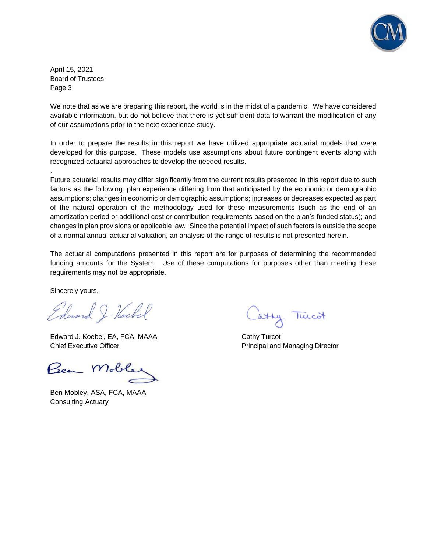

April 15, 2021 Board of Trustees Page 3

.

We note that as we are preparing this report, the world is in the midst of a pandemic. We have considered available information, but do not believe that there is yet sufficient data to warrant the modification of any of our assumptions prior to the next experience study.

In order to prepare the results in this report we have utilized appropriate actuarial models that were developed for this purpose. These models use assumptions about future contingent events along with recognized actuarial approaches to develop the needed results.

Future actuarial results may differ significantly from the current results presented in this report due to such factors as the following: plan experience differing from that anticipated by the economic or demographic assumptions; changes in economic or demographic assumptions; increases or decreases expected as part of the natural operation of the methodology used for these measurements (such as the end of an amortization period or additional cost or contribution requirements based on the plan's funded status); and changes in plan provisions or applicable law. Since the potential impact of such factors is outside the scope of a normal annual actuarial valuation, an analysis of the range of results is not presented herein.

The actuarial computations presented in this report are for purposes of determining the recommended funding amounts for the System. Use of these computations for purposes other than meeting these requirements may not be appropriate.

Sincerely yours,

Edward J. Hockel

Edward J. Koebel, EA, FCA, MAAA Cathy Turcot Chief Executive Officer **Principal and Managing Director** Principal and Managing Director

Ben Mol

Ben Mobley, ASA, FCA, MAAA Consulting Actuary

atty Tuicot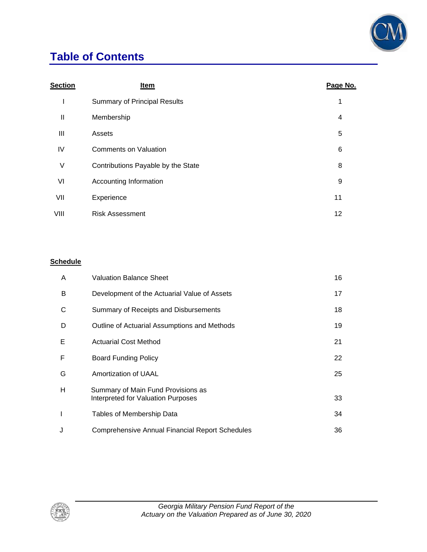

## **Table of Contents**

| Section | <b>Item</b>                         | Page No.       |
|---------|-------------------------------------|----------------|
| ı       | <b>Summary of Principal Results</b> | 1              |
| Ш       | Membership                          | $\overline{4}$ |
| Ш       | Assets                              | 5              |
| IV      | <b>Comments on Valuation</b>        | 6              |
| V       | Contributions Payable by the State  | 8              |
| VI      | Accounting Information              | 9              |
| VII     | Experience                          | 11             |
| VIII    | <b>Risk Assessment</b>              | 12             |

### **Schedule**

| A            | <b>Valuation Balance Sheet</b>                                           | 16 |
|--------------|--------------------------------------------------------------------------|----|
| B            | Development of the Actuarial Value of Assets                             | 17 |
| C            | Summary of Receipts and Disbursements                                    | 18 |
| D            | Outline of Actuarial Assumptions and Methods                             | 19 |
| Е            | <b>Actuarial Cost Method</b>                                             | 21 |
| F            | Board Funding Policy                                                     | 22 |
| G            | Amortization of UAAL                                                     | 25 |
| H            | Summary of Main Fund Provisions as<br>Interpreted for Valuation Purposes | 33 |
| $\mathsf{l}$ | Tables of Membership Data                                                | 34 |
| J            | <b>Comprehensive Annual Financial Report Schedules</b>                   | 36 |

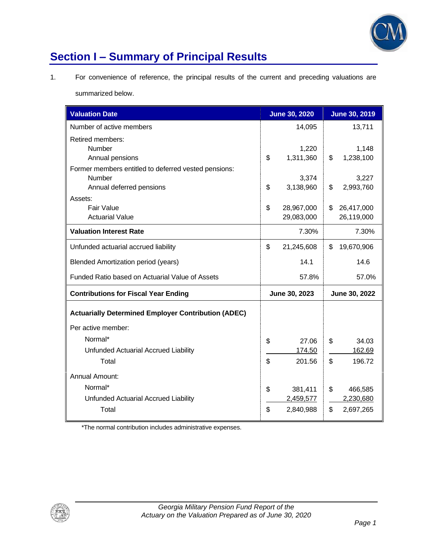

# **Section I – Summary of Principal Results**

1. For convenience of reference, the principal results of the current and preceding valuations are

summarized below.

| <b>Valuation Date</b>                                                                                 |          | <b>June 30, 2020</b>              |          | <b>June 30, 2019</b>              |
|-------------------------------------------------------------------------------------------------------|----------|-----------------------------------|----------|-----------------------------------|
| Number of active members                                                                              |          | 14,095                            |          | 13,711                            |
| Retired members:<br>Number<br>Annual pensions                                                         | \$       | 1,220<br>1,311,360                | \$       | 1,148<br>1,238,100                |
| Former members entitled to deferred vested pensions:<br>Number<br>Annual deferred pensions<br>Assets: | \$       | 3,374<br>3,138,960                | \$       | 3,227<br>2,993,760                |
| <b>Fair Value</b><br><b>Actuarial Value</b>                                                           | \$       | 28,967,000<br>29,083,000          | \$       | 26,417,000<br>26,119,000          |
| <b>Valuation Interest Rate</b>                                                                        |          | 7.30%                             |          | 7.30%                             |
| Unfunded actuarial accrued liability                                                                  | \$       | 21,245,608                        | \$       | 19,670,906                        |
| <b>Blended Amortization period (years)</b>                                                            |          | 14.1                              |          | 14.6                              |
| Funded Ratio based on Actuarial Value of Assets                                                       |          | 57.8%                             |          | 57.0%                             |
| <b>Contributions for Fiscal Year Ending</b>                                                           |          | June 30, 2023                     |          | June 30, 2022                     |
| <b>Actuarially Determined Employer Contribution (ADEC)</b>                                            |          |                                   |          |                                   |
| Per active member:                                                                                    |          |                                   |          |                                   |
| Normal*<br>Unfunded Actuarial Accrued Liability<br>Total                                              | \$<br>\$ | 27.06<br>174.50<br>201.56         | \$<br>\$ | 34.03<br>162.69<br>196.72         |
| <b>Annual Amount:</b><br>Normal*<br>Unfunded Actuarial Accrued Liability<br>Total                     | \$<br>\$ | 381,411<br>2,459,577<br>2,840,988 | \$<br>\$ | 466,585<br>2,230,680<br>2,697,265 |

\*The normal contribution includes administrative expenses.

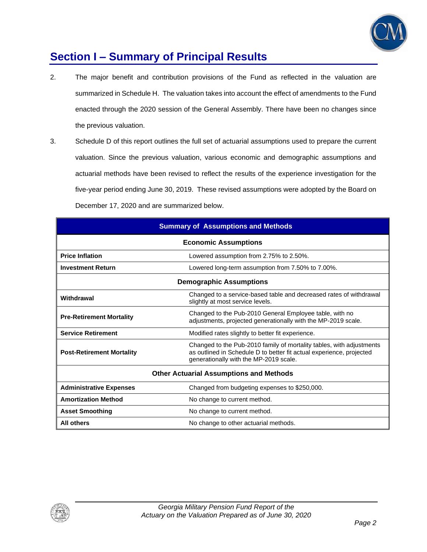

### **Section I – Summary of Principal Results**

- 2. The major benefit and contribution provisions of the Fund as reflected in the valuation are summarized in Schedule H. The valuation takes into account the effect of amendments to the Fund enacted through the 2020 session of the General Assembly. There have been no changes since the previous valuation.
- 3. Schedule D of this report outlines the full set of actuarial assumptions used to prepare the current valuation. Since the previous valuation, various economic and demographic assumptions and actuarial methods have been revised to reflect the results of the experience investigation for the five-year period ending June 30, 2019. These revised assumptions were adopted by the Board on December 17, 2020 and are summarized below.

| <b>Summary of Assumptions and Methods</b>                         |                                                                                                                                                                                        |  |  |  |  |
|-------------------------------------------------------------------|----------------------------------------------------------------------------------------------------------------------------------------------------------------------------------------|--|--|--|--|
| <b>Economic Assumptions</b>                                       |                                                                                                                                                                                        |  |  |  |  |
| <b>Price Inflation</b><br>Lowered assumption from 2.75% to 2.50%. |                                                                                                                                                                                        |  |  |  |  |
| <b>Investment Return</b>                                          | Lowered long-term assumption from 7.50% to 7.00%.                                                                                                                                      |  |  |  |  |
| <b>Demographic Assumptions</b>                                    |                                                                                                                                                                                        |  |  |  |  |
| Withdrawal                                                        | Changed to a service-based table and decreased rates of withdrawal<br>slightly at most service levels.                                                                                 |  |  |  |  |
| <b>Pre-Retirement Mortality</b>                                   | Changed to the Pub-2010 General Employee table, with no<br>adjustments, projected generationally with the MP-2019 scale.                                                               |  |  |  |  |
| <b>Service Retirement</b>                                         | Modified rates slightly to better fit experience.                                                                                                                                      |  |  |  |  |
| <b>Post-Retirement Mortality</b>                                  | Changed to the Pub-2010 family of mortality tables, with adjustments<br>as outlined in Schedule D to better fit actual experience, projected<br>generationally with the MP-2019 scale. |  |  |  |  |
| <b>Other Actuarial Assumptions and Methods</b>                    |                                                                                                                                                                                        |  |  |  |  |
| <b>Administrative Expenses</b>                                    | Changed from budgeting expenses to \$250,000.                                                                                                                                          |  |  |  |  |
| <b>Amortization Method</b>                                        | No change to current method.                                                                                                                                                           |  |  |  |  |
| <b>Asset Smoothing</b>                                            | No change to current method.                                                                                                                                                           |  |  |  |  |
| <b>All others</b>                                                 | No change to other actuarial methods.                                                                                                                                                  |  |  |  |  |

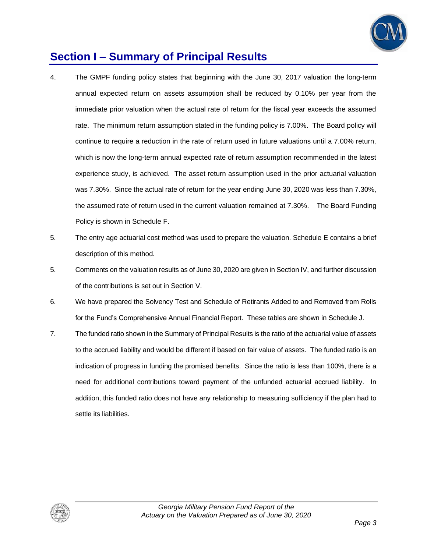

### **Section I – Summary of Principal Results**

- 4. The GMPF funding policy states that beginning with the June 30, 2017 valuation the long-term annual expected return on assets assumption shall be reduced by 0.10% per year from the immediate prior valuation when the actual rate of return for the fiscal year exceeds the assumed rate. The minimum return assumption stated in the funding policy is 7.00%. The Board policy will continue to require a reduction in the rate of return used in future valuations until a 7.00% return, which is now the long-term annual expected rate of return assumption recommended in the latest experience study, is achieved. The asset return assumption used in the prior actuarial valuation was 7.30%. Since the actual rate of return for the year ending June 30, 2020 was less than 7.30%, the assumed rate of return used in the current valuation remained at 7.30%. The Board Funding Policy is shown in Schedule F.
- 5. The entry age actuarial cost method was used to prepare the valuation. Schedule E contains a brief description of this method.
- 5. Comments on the valuation results as of June 30, 2020 are given in Section IV, and further discussion of the contributions is set out in Section V.
- 6. We have prepared the Solvency Test and Schedule of Retirants Added to and Removed from Rolls for the Fund's Comprehensive Annual Financial Report. These tables are shown in Schedule J.
- 7. The funded ratio shown in the Summary of Principal Results is the ratio of the actuarial value of assets to the accrued liability and would be different if based on fair value of assets. The funded ratio is an indication of progress in funding the promised benefits. Since the ratio is less than 100%, there is a need for additional contributions toward payment of the unfunded actuarial accrued liability. In addition, this funded ratio does not have any relationship to measuring sufficiency if the plan had to settle its liabilities.

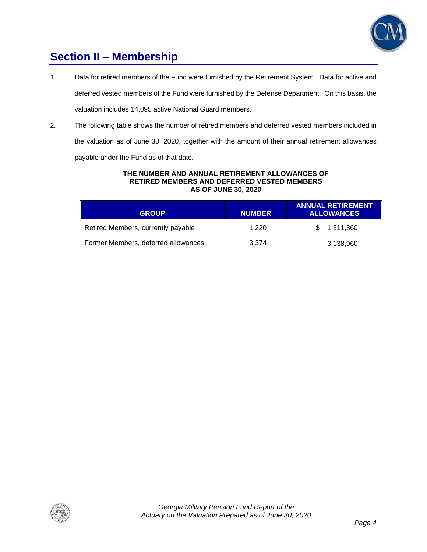

## **Section II – Membership**

- 1. Data for retired members of the Fund were furnished by the Retirement System. Data for active and deferred vested members of the Fund were furnished by the Defense Department. On this basis, the valuation includes 14,095 active National Guard members.
- 2. The following table shows the number of retired members and deferred vested members included in the valuation as of June 30, 2020, together with the amount of their annual retirement allowances

payable under the Fund as of that date.

#### **THE NUMBER AND ANNUAL RETIREMENT ALLOWANCES OF RETIRED MEMBERS AND DEFERRED VESTED MEMBERS AS OF JUNE 30, 2020**

| <b>GROUP</b>                        | <b>NUMBER</b> | <b>ANNUAL RETIREMENT</b><br><b>ALLOWANCES</b> |
|-------------------------------------|---------------|-----------------------------------------------|
| Retired Members, currently payable  | 1.220         | \$1,311,360                                   |
| Former Members, deferred allowances | 3.374         | 3,138,960                                     |

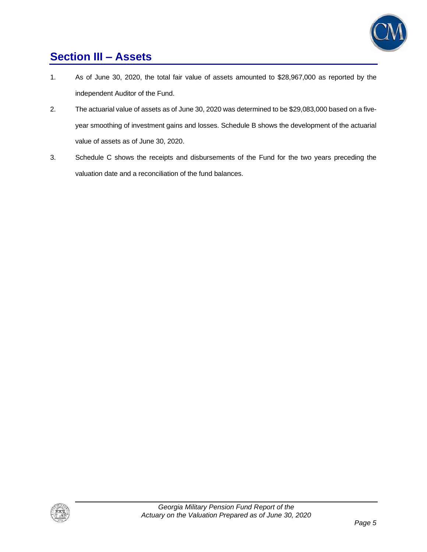

## **Section III – Assets**

- 1. As of June 30, 2020, the total fair value of assets amounted to \$28,967,000 as reported by the independent Auditor of the Fund.
- 2. The actuarial value of assets as of June 30, 2020 was determined to be \$29,083,000 based on a fiveyear smoothing of investment gains and losses. Schedule B shows the development of the actuarial value of assets as of June 30, 2020.
- 3. Schedule C shows the receipts and disbursements of the Fund for the two years preceding the valuation date and a reconciliation of the fund balances.

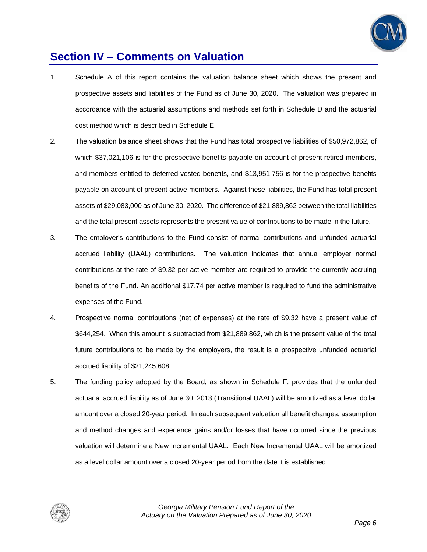

### **Section IV – Comments on Valuation**

- 1. Schedule A of this report contains the valuation balance sheet which shows the present and prospective assets and liabilities of the Fund as of June 30, 2020. The valuation was prepared in accordance with the actuarial assumptions and methods set forth in Schedule D and the actuarial cost method which is described in Schedule E.
- 2. The valuation balance sheet shows that the Fund has total prospective liabilities of \$50,972,862, of which \$37,021,106 is for the prospective benefits payable on account of present retired members, and members entitled to deferred vested benefits, and \$13,951,756 is for the prospective benefits payable on account of present active members. Against these liabilities, the Fund has total present assets of \$29,083,000 as of June 30, 2020. The difference of \$21,889,862 between the total liabilities and the total present assets represents the present value of contributions to be made in the future.
- 3. The employer's contributions to the Fund consist of normal contributions and unfunded actuarial accrued liability (UAAL) contributions. The valuation indicates that annual employer normal contributions at the rate of \$9.32 per active member are required to provide the currently accruing benefits of the Fund. An additional \$17.74 per active member is required to fund the administrative expenses of the Fund.
- 4. Prospective normal contributions (net of expenses) at the rate of \$9.32 have a present value of \$644,254. When this amount is subtracted from \$21,889,862, which is the present value of the total future contributions to be made by the employers, the result is a prospective unfunded actuarial accrued liability of \$21,245,608.
- 5. The funding policy adopted by the Board, as shown in Schedule F, provides that the unfunded actuarial accrued liability as of June 30, 2013 (Transitional UAAL) will be amortized as a level dollar amount over a closed 20-year period. In each subsequent valuation all benefit changes, assumption and method changes and experience gains and/or losses that have occurred since the previous valuation will determine a New Incremental UAAL. Each New Incremental UAAL will be amortized as a level dollar amount over a closed 20-year period from the date it is established.

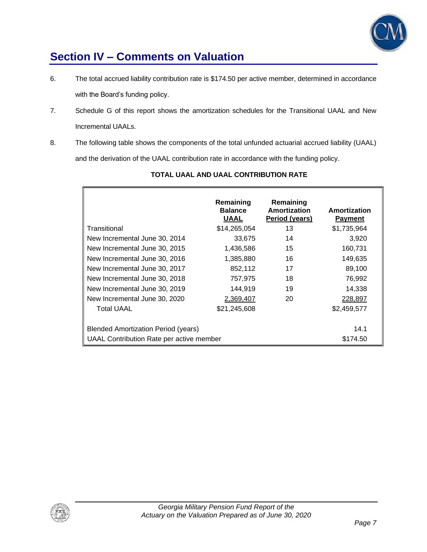

### **Section IV – Comments on Valuation**

- 6. The total accrued liability contribution rate is \$174.50 per active member, determined in accordance with the Board's funding policy.
- 7. Schedule G of this report shows the amortization schedules for the Transitional UAAL and New Incremental UAALs.
- 8. The following table shows the components of the total unfunded actuarial accrued liability (UAAL) and the derivation of the UAAL contribution rate in accordance with the funding policy.

|                                                 | Remaining<br><b>Balance</b><br><b>UAAL</b> | Remaining<br>Amortization<br>Period (years) | Amortization<br><b>Payment</b> |
|-------------------------------------------------|--------------------------------------------|---------------------------------------------|--------------------------------|
| Transitional                                    | \$14,265,054                               | 13                                          | \$1,735,964                    |
| New Incremental June 30, 2014                   | 33,675                                     | 14                                          | 3,920                          |
| New Incremental June 30, 2015                   | 1,436,586                                  | 15                                          | 160,731                        |
| New Incremental June 30, 2016                   | 1,385,880                                  | 16                                          | 149,635                        |
| New Incremental June 30, 2017                   | 852,112                                    | 17                                          | 89,100                         |
| New Incremental June 30, 2018                   | 757,975                                    | 18                                          | 76,992                         |
| New Incremental June 30, 2019                   | 144.919                                    | 19                                          | 14,338                         |
| New Incremental June 30, 2020                   | 2,369,407                                  | 20                                          | 228,897                        |
| <b>Total UAAL</b>                               | \$21,245,608                               |                                             | \$2,459,577                    |
| <b>Blended Amortization Period (years)</b>      | 14.1                                       |                                             |                                |
| <b>UAAL Contribution Rate per active member</b> | \$174.50                                   |                                             |                                |

### **TOTAL UAAL AND UAAL CONTRIBUTION RATE**



F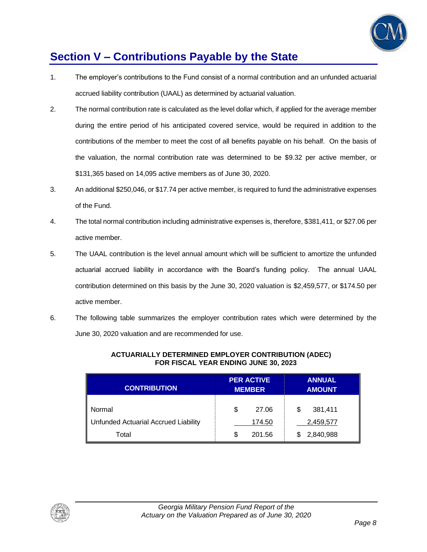

## **Section V – Contributions Payable by the State**

- 1. The employer's contributions to the Fund consist of a normal contribution and an unfunded actuarial accrued liability contribution (UAAL) as determined by actuarial valuation.
- 2. The normal contribution rate is calculated as the level dollar which, if applied for the average member during the entire period of his anticipated covered service, would be required in addition to the contributions of the member to meet the cost of all benefits payable on his behalf. On the basis of the valuation, the normal contribution rate was determined to be \$9.32 per active member, or \$131,365 based on 14,095 active members as of June 30, 2020.
- 3. An additional \$250,046, or \$17.74 per active member, is required to fund the administrative expenses of the Fund.
- 4. The total normal contribution including administrative expenses is, therefore, \$381,411, or \$27.06 per active member.
- 5. The UAAL contribution is the level annual amount which will be sufficient to amortize the unfunded actuarial accrued liability in accordance with the Board's funding policy. The annual UAAL contribution determined on this basis by the June 30, 2020 valuation is \$2,459,577, or \$174.50 per active member.
- 6. The following table summarizes the employer contribution rates which were determined by the June 30, 2020 valuation and are recommended for use.

| <b>CONTRIBUTION</b>                  | <b>PER ACTIVE</b><br><b>MEMBER</b> | <b>ANNUAL</b><br><b>AMOUNT</b> |  |  |
|--------------------------------------|------------------------------------|--------------------------------|--|--|
| Normal                               | \$<br>27.06                        | 381,411<br>S                   |  |  |
| Unfunded Actuarial Accrued Liability | 174.50                             | 2,459,577                      |  |  |
| Total                                | S<br>201.56                        | 2,840,988                      |  |  |

#### **ACTUARIALLY DETERMINED EMPLOYER CONTRIBUTION (ADEC) FOR FISCAL YEAR ENDING JUNE 30, 2023**

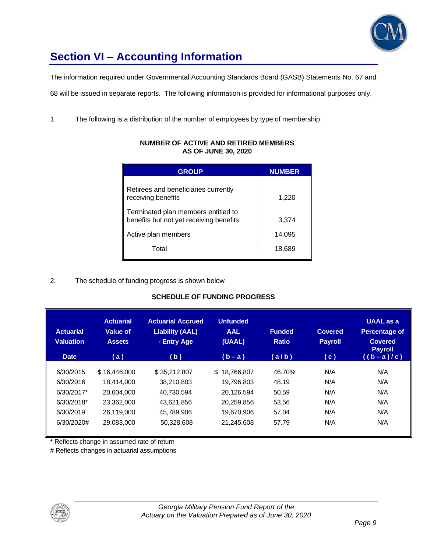

# **Section VI – Accounting Information**

The information required under Governmental Accounting Standards Board (GASB) Statements No. 67 and

68 will be issued in separate reports. The following information is provided for informational purposes only.

1. The following is a distribution of the number of employees by type of membership:

| <b>GROUP</b>                                                                   | <b>NUMBER</b> |
|--------------------------------------------------------------------------------|---------------|
| Retirees and beneficiaries currently<br>receiving benefits                     | 1,220         |
| Terminated plan members entitled to<br>benefits but not yet receiving benefits | 3,374         |
| Active plan members                                                            | 14,095        |
| Total                                                                          | 18,689        |

#### **NUMBER OF ACTIVE AND RETIRED MEMBERS AS OF JUNE 30, 2020**

#### 2. The schedule of funding progress is shown below

#### **SCHEDULE OF FUNDING PROGRESS**

| <b>Actuarial</b><br><b>Valuation</b><br><b>Date</b> | <b>Actuarial</b><br>Value of<br><b>Assets</b><br>(a) | <b>Actuarial Accrued</b><br><b>Liability (AAL)</b><br>- Entry Age<br>(b) | <b>Unfunded</b><br><b>AAL</b><br>(UAAL)<br>$(b - a)$ | <b>Funded</b><br><b>Ratio</b><br>(a/b) | <b>Covered</b><br><b>Payroll</b><br>$\left( c \right)$ | <b>UAAL</b> as a<br><b>Percentage of</b><br><b>Covered</b><br><b>Payroll</b><br>$((b-a)/c)$ |
|-----------------------------------------------------|------------------------------------------------------|--------------------------------------------------------------------------|------------------------------------------------------|----------------------------------------|--------------------------------------------------------|---------------------------------------------------------------------------------------------|
| 6/30/2015                                           | \$16,446,000                                         | \$35.212.807                                                             | \$.<br>18.766.807                                    | 46.70%                                 | N/A                                                    | N/A                                                                                         |
| 6/30/2016                                           | 18.414.000                                           | 38.210.803                                                               | 19.796.803                                           | 48.19                                  | N/A                                                    | N/A                                                                                         |
| 6/30/2017*                                          | 20.604.000                                           | 40.730.594                                                               | 20.126.594                                           | 50.59                                  | N/A                                                    | N/A                                                                                         |
| 6/30/2018*                                          | 23.362.000                                           | 43.621.856                                                               | 20.259.856                                           | 53.56                                  | N/A                                                    | N/A                                                                                         |
| 6/30/2019                                           | 26.119.000                                           | 45.789.906                                                               | 19.670.906                                           | 57.04                                  | N/A                                                    | N/A                                                                                         |
| 6/30/2020#                                          | 29,083,000                                           | 50,328,608                                                               | 21,245,608                                           | 57.79                                  | N/A                                                    | N/A                                                                                         |

\* Reflects change in assumed rate of return

# Reflects changes in actuarial assumptions

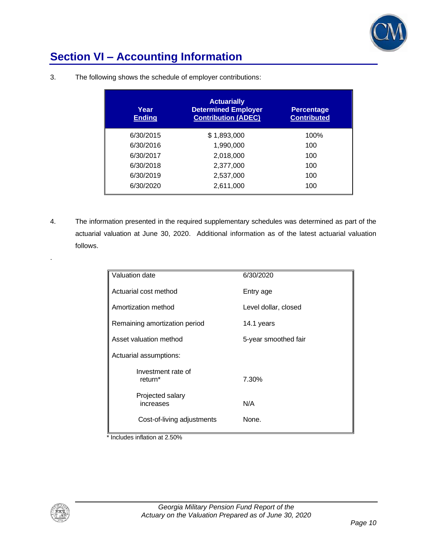

## **Section VI – Accounting Information**

| Year<br><b>Ending</b> | <b>Actuarially</b><br><b>Determined Employer</b><br><b>Contribution (ADEC)</b> | <b>Percentage</b><br><b>Contributed</b> |
|-----------------------|--------------------------------------------------------------------------------|-----------------------------------------|
| 6/30/2015             | \$1,893,000                                                                    | 100%                                    |
| 6/30/2016             | 1,990,000                                                                      | 100                                     |
| 6/30/2017             | 2,018,000                                                                      | 100                                     |
| 6/30/2018             | 2,377,000                                                                      | 100                                     |
| 6/30/2019             | 2,537,000                                                                      | 100                                     |
| 6/30/2020             | 2,611,000                                                                      | 100                                     |

3. The following shows the schedule of employer contributions:

4. The information presented in the required supplementary schedules was determined as part of the actuarial valuation at June 30, 2020. Additional information as of the latest actuarial valuation follows.

| Valuation date                | 6/30/2020            |
|-------------------------------|----------------------|
|                               |                      |
| Actuarial cost method         | Entry age            |
|                               |                      |
| Amortization method           | Level dollar, closed |
|                               |                      |
|                               |                      |
| Remaining amortization period | 14.1 years           |
|                               |                      |
| Asset valuation method        | 5-year smoothed fair |
|                               |                      |
| Actuarial assumptions:        |                      |
|                               |                      |
| Investment rate of            |                      |
| return <sup>*</sup>           | 7.30%                |
|                               |                      |
| Projected salary              |                      |
| increases                     | N/A                  |
|                               |                      |
|                               |                      |
| Cost-of-living adjustments    | None.                |
|                               |                      |

\* Includes inflation at 2.50%



.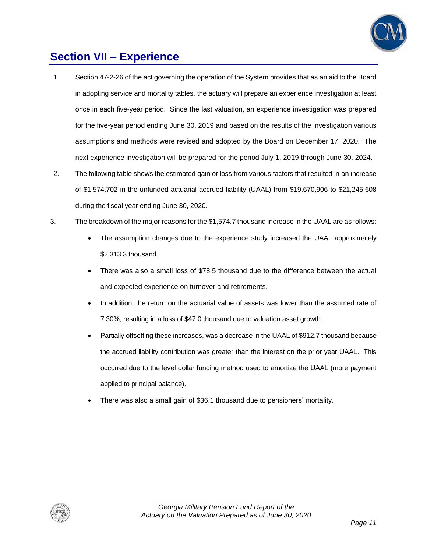

### **Section VII – Experience**

- 1. Section 47-2-26 of the act governing the operation of the System provides that as an aid to the Board in adopting service and mortality tables, the actuary will prepare an experience investigation at least once in each five-year period. Since the last valuation, an experience investigation was prepared for the five-year period ending June 30, 2019 and based on the results of the investigation various assumptions and methods were revised and adopted by the Board on December 17, 2020. The next experience investigation will be prepared for the period July 1, 2019 through June 30, 2024.
- 2. The following table shows the estimated gain or loss from various factors that resulted in an increase of \$1,574,702 in the unfunded actuarial accrued liability (UAAL) from \$19,670,906 to \$21,245,608 during the fiscal year ending June 30, 2020.
- 3. The breakdown of the major reasons for the \$1,574.7 thousand increase in the UAAL are as follows:
	- The assumption changes due to the experience study increased the UAAL approximately \$2,313.3 thousand.
	- There was also a small loss of \$78.5 thousand due to the difference between the actual and expected experience on turnover and retirements.
	- In addition, the return on the actuarial value of assets was lower than the assumed rate of 7.30%, resulting in a loss of \$47.0 thousand due to valuation asset growth.
	- Partially offsetting these increases, was a decrease in the UAAL of \$912.7 thousand because the accrued liability contribution was greater than the interest on the prior year UAAL. This occurred due to the level dollar funding method used to amortize the UAAL (more payment applied to principal balance).
	- There was also a small gain of \$36.1 thousand due to pensioners' mortality.

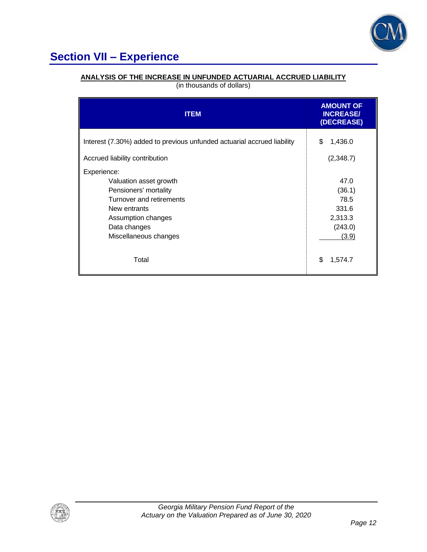

# **Section VII – Experience**

### **ANALYSIS OF THE INCREASE IN UNFUNDED ACTUARIAL ACCRUED LIABILITY**

| (in thousands of dollars) |  |
|---------------------------|--|
|---------------------------|--|

| <b>ITEM</b>                                                                                                                                                               | <b>AMOUNT OF</b><br><b>INCREASE/</b><br>(DECREASE)             |
|---------------------------------------------------------------------------------------------------------------------------------------------------------------------------|----------------------------------------------------------------|
| Interest (7.30%) added to previous unfunded actuarial accrued liability                                                                                                   | 1,436.0<br>\$                                                  |
| Accrued liability contribution                                                                                                                                            | (2,348.7)                                                      |
| Experience:<br>Valuation asset growth<br>Pensioners' mortality<br>Turnover and retirements<br>New entrants<br>Assumption changes<br>Data changes<br>Miscellaneous changes | 47.0<br>(36.1)<br>78.5<br>331.6<br>2,313.3<br>(243.0)<br>(3.9) |
| Total                                                                                                                                                                     | \$<br>1,574.7                                                  |

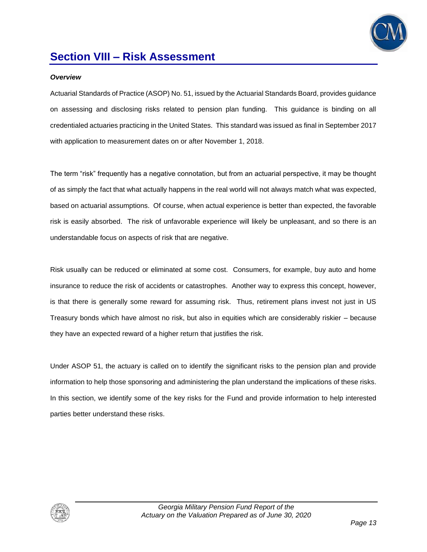

### **Section VIII – Risk Assessment**

#### *Overview*

Actuarial Standards of Practice (ASOP) No. 51, issued by the Actuarial Standards Board, provides guidance on assessing and disclosing risks related to pension plan funding. This guidance is binding on all credentialed actuaries practicing in the United States. This standard was issued as final in September 2017 with application to measurement dates on or after November 1, 2018.

The term "risk" frequently has a negative connotation, but from an actuarial perspective, it may be thought of as simply the fact that what actually happens in the real world will not always match what was expected, based on actuarial assumptions. Of course, when actual experience is better than expected, the favorable risk is easily absorbed. The risk of unfavorable experience will likely be unpleasant, and so there is an understandable focus on aspects of risk that are negative.

Risk usually can be reduced or eliminated at some cost. Consumers, for example, buy auto and home insurance to reduce the risk of accidents or catastrophes. Another way to express this concept, however, is that there is generally some reward for assuming risk. Thus, retirement plans invest not just in US Treasury bonds which have almost no risk, but also in equities which are considerably riskier – because they have an expected reward of a higher return that justifies the risk.

Under ASOP 51, the actuary is called on to identify the significant risks to the pension plan and provide information to help those sponsoring and administering the plan understand the implications of these risks. In this section, we identify some of the key risks for the Fund and provide information to help interested parties better understand these risks.

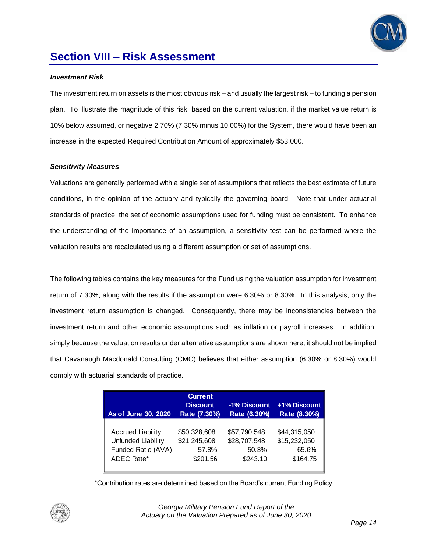

### **Section VIII – Risk Assessment**

#### *Investment Risk*

The investment return on assets is the most obvious risk – and usually the largest risk – to funding a pension plan. To illustrate the magnitude of this risk, based on the current valuation, if the market value return is 10% below assumed, or negative 2.70% (7.30% minus 10.00%) for the System, there would have been an increase in the expected Required Contribution Amount of approximately \$53,000.

#### *Sensitivity Measures*

Valuations are generally performed with a single set of assumptions that reflects the best estimate of future conditions, in the opinion of the actuary and typically the governing board. Note that under actuarial standards of practice, the set of economic assumptions used for funding must be consistent. To enhance the understanding of the importance of an assumption, a sensitivity test can be performed where the valuation results are recalculated using a different assumption or set of assumptions.

The following tables contains the key measures for the Fund using the valuation assumption for investment return of 7.30%, along with the results if the assumption were 6.30% or 8.30%. In this analysis, only the investment return assumption is changed. Consequently, there may be inconsistencies between the investment return and other economic assumptions such as inflation or payroll increases. In addition, simply because the valuation results under alternative assumptions are shown here, it should not be implied that Cavanaugh Macdonald Consulting (CMC) believes that either assumption (6.30% or 8.30%) would comply with actuarial standards of practice.

| As of June 30, 2020      | <b>Current</b><br><b>Discount</b><br>Rate (7.30%) | -1% Discount<br>Rate (6.30%) | +1% Discount<br>Rate (8.30%) |
|--------------------------|---------------------------------------------------|------------------------------|------------------------------|
| <b>Accrued Liability</b> | \$50,328,608                                      | \$57,790,548                 | \$44,315,050                 |
| Unfunded Liability       | \$21,245,608                                      | \$28,707,548                 | \$15,232,050                 |
| Funded Ratio (AVA)       | 57.8%                                             | 50.3%                        | 65.6%                        |
| ADEC Rate*               | \$201.56                                          | \$243.10                     | \$164.75                     |

\*Contribution rates are determined based on the Board's current Funding Policy

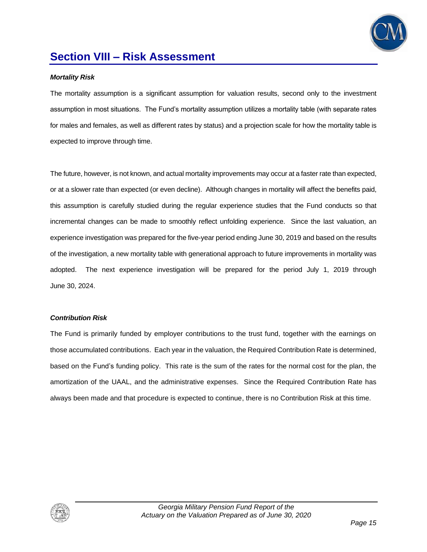

### **Section VIII – Risk Assessment**

#### *Mortality Risk*

The mortality assumption is a significant assumption for valuation results, second only to the investment assumption in most situations. The Fund's mortality assumption utilizes a mortality table (with separate rates for males and females, as well as different rates by status) and a projection scale for how the mortality table is expected to improve through time.

The future, however, is not known, and actual mortality improvements may occur at a faster rate than expected, or at a slower rate than expected (or even decline). Although changes in mortality will affect the benefits paid, this assumption is carefully studied during the regular experience studies that the Fund conducts so that incremental changes can be made to smoothly reflect unfolding experience. Since the last valuation, an experience investigation was prepared for the five-year period ending June 30, 2019 and based on the results of the investigation, a new mortality table with generational approach to future improvements in mortality was adopted. The next experience investigation will be prepared for the period July 1, 2019 through June 30, 2024.

#### *Contribution Risk*

The Fund is primarily funded by employer contributions to the trust fund, together with the earnings on those accumulated contributions. Each year in the valuation, the Required Contribution Rate is determined, based on the Fund's funding policy. This rate is the sum of the rates for the normal cost for the plan, the amortization of the UAAL, and the administrative expenses. Since the Required Contribution Rate has always been made and that procedure is expected to continue, there is no Contribution Risk at this time.

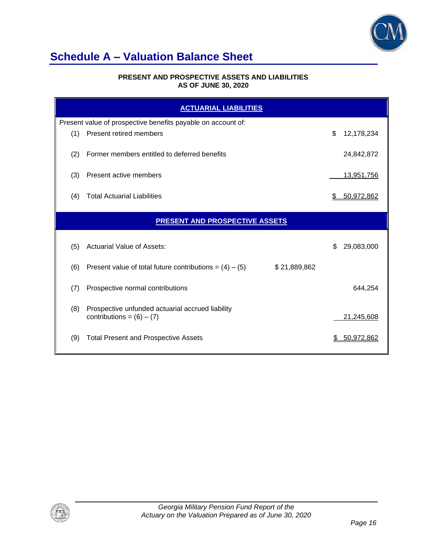

## **Schedule A – Valuation Balance Sheet**

#### **PRESENT AND PROSPECTIVE ASSETS AND LIABILITIES AS OF JUNE 30, 2020**

| <b>ACTUARIAL LIABILITIES</b> |                                                                                 |    |            |  |
|------------------------------|---------------------------------------------------------------------------------|----|------------|--|
|                              | Present value of prospective benefits payable on account of:                    |    |            |  |
| (1)                          | <b>Present retired members</b>                                                  | \$ | 12,178,234 |  |
| (2)                          | Former members entitled to deferred benefits                                    |    | 24,842,872 |  |
| (3)                          | Present active members                                                          |    | 13,951,756 |  |
| (4)                          | <b>Total Actuarial Liabilities</b>                                              |    | 50,972,862 |  |
|                              | <b>PRESENT AND PROSPECTIVE ASSETS</b>                                           |    |            |  |
| (5)                          | Actuarial Value of Assets:                                                      | \$ | 29,083,000 |  |
| (6)                          | Present value of total future contributions = $(4) - (5)$<br>\$21,889,862       |    |            |  |
| (7)                          | Prospective normal contributions                                                |    | 644,254    |  |
| (8)                          | Prospective unfunded actuarial accrued liability<br>contributions = $(6) - (7)$ |    | 21,245,608 |  |
| (9)                          | <b>Total Present and Prospective Assets</b>                                     |    | 50,972,862 |  |

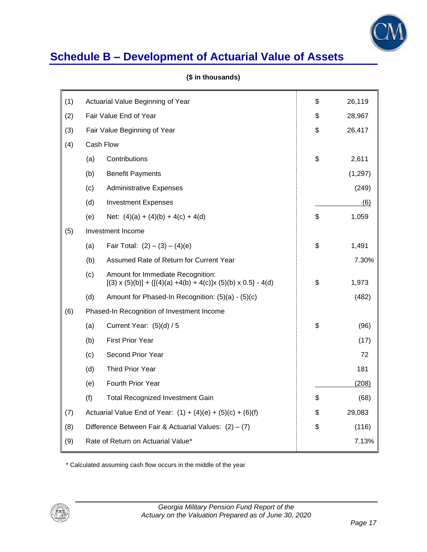

## **Schedule B – Development of Actuarial Value of Assets**

| (1) | Actuarial Value Beginning of Year                             |                                                                                                                |    | 26,119   |
|-----|---------------------------------------------------------------|----------------------------------------------------------------------------------------------------------------|----|----------|
| (2) | Fair Value End of Year                                        |                                                                                                                |    | 28,967   |
| (3) |                                                               | Fair Value Beginning of Year                                                                                   | \$ | 26,417   |
| (4) |                                                               | Cash Flow                                                                                                      |    |          |
|     | (a)                                                           | Contributions                                                                                                  | \$ | 2,611    |
|     | (b)                                                           | <b>Benefit Payments</b>                                                                                        |    | (1, 297) |
|     | (c)                                                           | <b>Administrative Expenses</b>                                                                                 |    | (249)    |
|     | (d)                                                           | <b>Investment Expenses</b>                                                                                     |    | (6)      |
|     | (e)                                                           | Net: $(4)(a) + (4)(b) + 4(c) + 4(d)$                                                                           | \$ | 1,059    |
| (5) |                                                               | Investment Income                                                                                              |    |          |
|     | (a)                                                           | Fair Total: $(2) - (3) - (4)(e)$                                                                               | \$ | 1,491    |
|     | (b)<br>Assumed Rate of Return for Current Year                |                                                                                                                |    | 7.30%    |
|     | (c)                                                           | Amount for Immediate Recognition:<br>$[(3) \times (5)(b)] + {[(4)(a) +4(b) + 4(c)]x (5)(b) \times 0.5} - 4(d)$ | \$ | 1,973    |
|     | (d)                                                           | Amount for Phased-In Recognition: (5)(a) - (5)(c)                                                              |    | (482)    |
| (6) | Phased-In Recognition of Investment Income                    |                                                                                                                |    |          |
|     | (a)                                                           | Current Year: $(5)(d) / 5$                                                                                     | \$ | (96)     |
|     | (b)                                                           | <b>First Prior Year</b>                                                                                        |    | (17)     |
|     | (c)                                                           | Second Prior Year                                                                                              |    | 72       |
|     | (d)                                                           | <b>Third Prior Year</b>                                                                                        |    | 181      |
|     | (e)                                                           | Fourth Prior Year                                                                                              |    | (208)    |
|     | (f)                                                           | <b>Total Recognized Investment Gain</b>                                                                        | \$ | (68)     |
| (7) | Actuarial Value End of Year: $(1) + (4)(e) + (5)(c) + (6)(f)$ |                                                                                                                | \$ | 29,083   |
| (8) | Difference Between Fair & Actuarial Values: $(2) - (7)$       |                                                                                                                |    | (116)    |
| (9) | Rate of Return on Actuarial Value*                            |                                                                                                                |    | 7.13%    |
|     |                                                               |                                                                                                                |    |          |

#### **(\$ in thousands)**

\* Calculated assuming cash flow occurs in the middle of the year

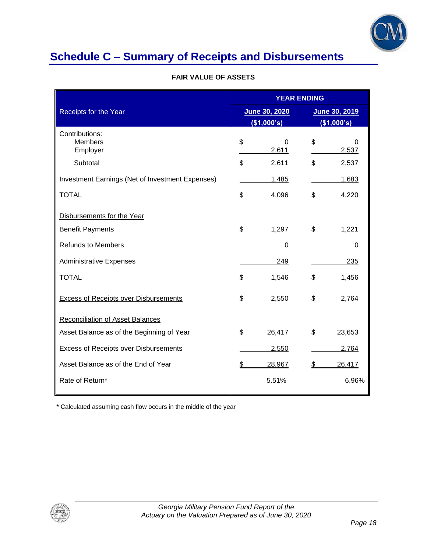

# **Schedule C – Summary of Receipts and Disbursements**

|                                                  | <b>YEAR ENDING</b> |                              |                              |
|--------------------------------------------------|--------------------|------------------------------|------------------------------|
| <b>Receipts for the Year</b>                     |                    | June 30, 2020<br>(\$1,000's) | June 30, 2019<br>(\$1,000's) |
| Contributions:<br><b>Members</b><br>Employer     | \$                 | 0<br>2,611                   | \$<br>0<br>2,537             |
| Subtotal                                         | \$                 | 2,611                        | \$<br>2,537                  |
| Investment Earnings (Net of Investment Expenses) |                    | 1,485                        | 1,683                        |
| <b>TOTAL</b>                                     | \$                 | 4,096                        | \$<br>4,220                  |
| Disbursements for the Year                       |                    |                              |                              |
| <b>Benefit Payments</b>                          | \$                 | 1,297                        | \$<br>1,221                  |
| <b>Refunds to Members</b>                        |                    | 0                            | 0                            |
| <b>Administrative Expenses</b>                   |                    | 249                          | 235                          |
| <b>TOTAL</b>                                     | \$                 | 1,546                        | \$<br>1,456                  |
| <b>Excess of Receipts over Disbursements</b>     | \$                 | 2,550                        | \$<br>2,764                  |
| <b>Reconciliation of Asset Balances</b>          |                    |                              |                              |
| Asset Balance as of the Beginning of Year        | \$                 | 26,417                       | \$<br>23,653                 |
| <b>Excess of Receipts over Disbursements</b>     |                    | 2,550                        | 2,764                        |
| Asset Balance as of the End of Year              | \$                 | 28,967                       | \$<br>26,417                 |
| Rate of Return*                                  |                    | 5.51%                        | 6.96%                        |

\* Calculated assuming cash flow occurs in the middle of the year

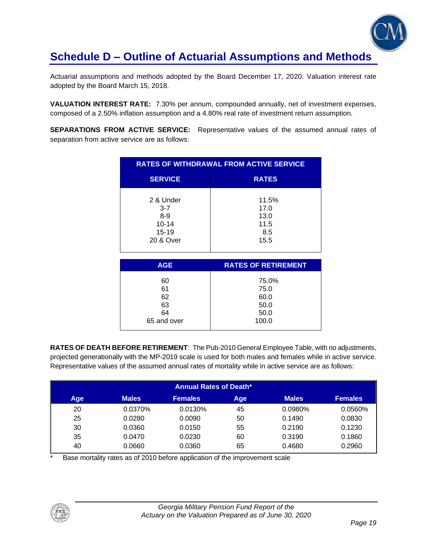

## **Schedule D – Outline of Actuarial Assumptions and Methods**

Actuarial assumptions and methods adopted by the Board December 17, 2020. Valuation interest rate adopted by the Board March 15, 2018.

**VALUATION INTEREST RATE:** 7.30% per annum, compounded annually, net of investment expenses, composed of a 2.50% inflation assumption and a 4.80% real rate of investment return assumption.

**SEPARATIONS FROM ACTIVE SERVICE:** Representative values of the assumed annual rates of separation from active service are as follows:

| <b>RATES OF WITHDRAWAL FROM ACTIVE SERVICE</b>                   |                                                |  |  |
|------------------------------------------------------------------|------------------------------------------------|--|--|
| <b>SERVICE</b>                                                   | <b>RATES</b>                                   |  |  |
| 2 & Under<br>$3 - 7$<br>$8-9$<br>$10 - 14$<br>15-19<br>20 & Over | 11.5%<br>17.0<br>13.0<br>11.5<br>8.5<br>15.5   |  |  |
| <b>AGE</b>                                                       | <b>RATES OF RETIREMENT</b>                     |  |  |
| 60<br>61<br>62<br>63<br>64<br>65 and over                        | 75.0%<br>75.0<br>60.0<br>50.0<br>50.0<br>100.0 |  |  |

**RATES OF DEATH BEFORE RETIREMENT**: The Pub-2010 General Employee Table, with no adjustments, projected generationally with the MP-2019 scale is used for both males and females while in active service. Representative values of the assumed annual rates of mortality while in active service are as follows:

|     |              | <b>Annual Rates of Death*</b> |     |              |                |
|-----|--------------|-------------------------------|-----|--------------|----------------|
| Age | <b>Males</b> | <b>Females</b>                | Age | <b>Males</b> | <b>Females</b> |
| 20  | 0.0370%      | 0.0130%                       | 45  | 0.0980%      | 0.0560%        |
| 25  | 0.0280       | 0.0090                        | 50  | 0.1490       | 0.0830         |
| 30  | 0.0360       | 0.0150                        | 55  | 0.2190       | 0.1230         |
| 35  | 0.0470       | 0.0230                        | 60  | 0.3190       | 0.1860         |
| 40  | 0.0660       | 0.0360                        | 65  | 0.4680       | 0.2960         |

Base mortality rates as of 2010 before application of the improvement scale

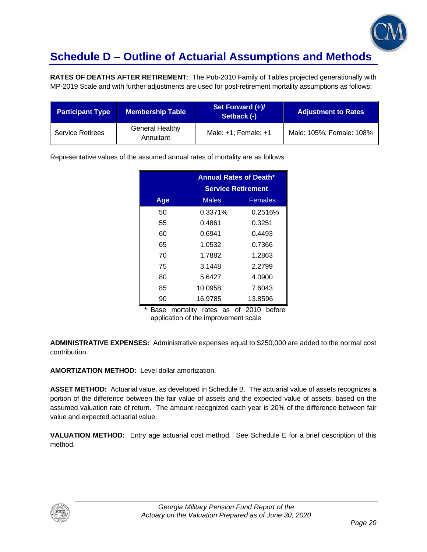

## **Schedule D – Outline of Actuarial Assumptions and Methods**

**RATES OF DEATHS AFTER RETIREMENT**: The Pub-2010 Family of Tables projected generationally with MP-2019 Scale and with further adjustments are used for post-retirement mortality assumptions as follows:

| <b>Participant Type</b> | <b>Membership Table</b>             | Set Forward (+)/<br>Setback (-) | <b>Adjustment to Rates</b> |
|-------------------------|-------------------------------------|---------------------------------|----------------------------|
| <b>Service Retirees</b> | <b>General Healthy</b><br>Annuitant | Male: $+1$ ; Female: $+1$       | Male: 105%; Female: 108%   |

Representative values of the assumed annual rates of mortality are as follows:

|     | <b>Annual Rates of Death*</b> |         |  |
|-----|-------------------------------|---------|--|
|     | <b>Service Retirement</b>     |         |  |
| Age | Females<br><b>Males</b>       |         |  |
| 50  | 0.3371%                       | 0.2516% |  |
| 55  | 0.4861                        | 0.3251  |  |
| 60  | 0.6941                        | 0.4493  |  |
| 65  | 1.0532                        | 0.7366  |  |
| 70  | 1.7882                        | 1.2863  |  |
| 75  | 3.1448                        | 2.2799  |  |
| 80  | 5.6427                        | 4.0900  |  |
| 85  | 10.0958                       | 7.6043  |  |
| 90  | 16.9785                       | 13.8596 |  |

\* Base mortality rates as of 2010 before application of the improvement scale

**ADMINISTRATIVE EXPENSES:** Administrative expenses equal to \$250,000 are added to the normal cost contribution.

**AMORTIZATION METHOD:** Level dollar amortization.

**ASSET METHOD:** Actuarial value, as developed in Schedule B. The actuarial value of assets recognizes a portion of the difference between the fair value of assets and the expected value of assets, based on the assumed valuation rate of return. The amount recognized each year is 20% of the difference between fair value and expected actuarial value.

**VALUATION METHOD:** Entry age actuarial cost method. See Schedule E for a brief description of this method.

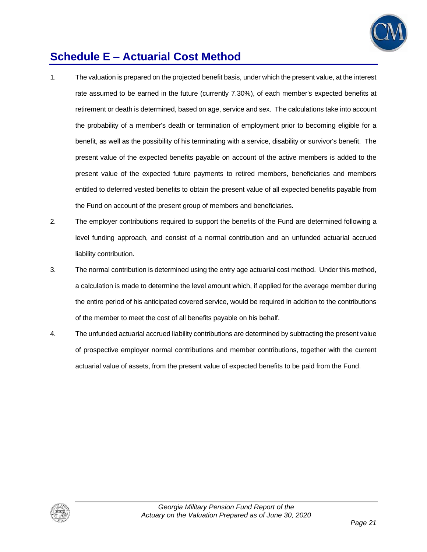

## **Schedule E – Actuarial Cost Method**

- 1. The valuation is prepared on the projected benefit basis, under which the present value, at the interest rate assumed to be earned in the future (currently 7.30%), of each member's expected benefits at retirement or death is determined, based on age, service and sex. The calculations take into account the probability of a member's death or termination of employment prior to becoming eligible for a benefit, as well as the possibility of his terminating with a service, disability or survivor's benefit. The present value of the expected benefits payable on account of the active members is added to the present value of the expected future payments to retired members, beneficiaries and members entitled to deferred vested benefits to obtain the present value of all expected benefits payable from the Fund on account of the present group of members and beneficiaries.
- 2. The employer contributions required to support the benefits of the Fund are determined following a level funding approach, and consist of a normal contribution and an unfunded actuarial accrued liability contribution.
- 3. The normal contribution is determined using the entry age actuarial cost method. Under this method, a calculation is made to determine the level amount which, if applied for the average member during the entire period of his anticipated covered service, would be required in addition to the contributions of the member to meet the cost of all benefits payable on his behalf.
- 4. The unfunded actuarial accrued liability contributions are determined by subtracting the present value of prospective employer normal contributions and member contributions, together with the current actuarial value of assets, from the present value of expected benefits to be paid from the Fund.

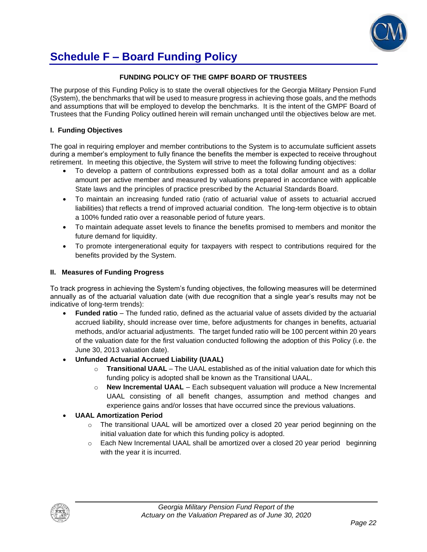

## **Schedule F – Board Funding Policy**

#### **FUNDING POLICY OF THE GMPF BOARD OF TRUSTEES**

The purpose of this Funding Policy is to state the overall objectives for the Georgia Military Pension Fund (System), the benchmarks that will be used to measure progress in achieving those goals, and the methods and assumptions that will be employed to develop the benchmarks. It is the intent of the GMPF Board of Trustees that the Funding Policy outlined herein will remain unchanged until the objectives below are met.

#### **I. Funding Objectives**

The goal in requiring employer and member contributions to the System is to accumulate sufficient assets during a member's employment to fully finance the benefits the member is expected to receive throughout retirement. In meeting this objective, the System will strive to meet the following funding objectives:

- To develop a pattern of contributions expressed both as a total dollar amount and as a dollar amount per active member and measured by valuations prepared in accordance with applicable State laws and the principles of practice prescribed by the Actuarial Standards Board.
- To maintain an increasing funded ratio (ratio of actuarial value of assets to actuarial accrued liabilities) that reflects a trend of improved actuarial condition. The long-term objective is to obtain a 100% funded ratio over a reasonable period of future years.
- To maintain adequate asset levels to finance the benefits promised to members and monitor the future demand for liquidity.
- To promote intergenerational equity for taxpayers with respect to contributions required for the benefits provided by the System.

#### **II. Measures of Funding Progress**

To track progress in achieving the System's funding objectives, the following measures will be determined annually as of the actuarial valuation date (with due recognition that a single year's results may not be indicative of long-term trends):

- **Funded ratio** The funded ratio, defined as the actuarial value of assets divided by the actuarial accrued liability, should increase over time, before adjustments for changes in benefits, actuarial methods, and/or actuarial adjustments. The target funded ratio will be 100 percent within 20 years of the valuation date for the first valuation conducted following the adoption of this Policy (i.e. the June 30, 2013 valuation date).
- **Unfunded Actuarial Accrued Liability (UAAL)**
	- o **Transitional UAAL** The UAAL established as of the initial valuation date for which this funding policy is adopted shall be known as the Transitional UAAL.
	- o **New Incremental UAAL** Each subsequent valuation will produce a New Incremental UAAL consisting of all benefit changes, assumption and method changes and experience gains and/or losses that have occurred since the previous valuations.

#### • **UAAL Amortization Period**

- $\circ$  The transitional UAAL will be amortized over a closed 20 year period beginning on the initial valuation date for which this funding policy is adopted.
- $\circ$  Each New Incremental UAAL shall be amortized over a closed 20 year period beginning with the year it is incurred.

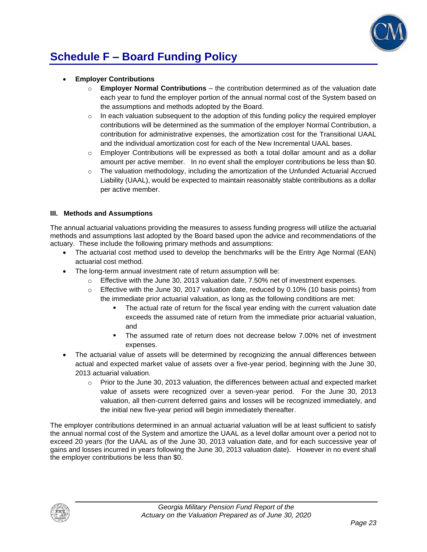

# **Schedule F – Board Funding Policy**

- **Employer Contributions**
	- o **Employer Normal Contributions**  the contribution determined as of the valuation date each year to fund the employer portion of the annual normal cost of the System based on the assumptions and methods adopted by the Board.
	- $\circ$  In each valuation subsequent to the adoption of this funding policy the required employer contributions will be determined as the summation of the employer Normal Contribution, a contribution for administrative expenses, the amortization cost for the Transitional UAAL and the individual amortization cost for each of the New Incremental UAAL bases.
	- $\circ$  Employer Contributions will be expressed as both a total dollar amount and as a dollar amount per active member. In no event shall the employer contributions be less than \$0.
	- $\circ$  The valuation methodology, including the amortization of the Unfunded Actuarial Accrued Liability (UAAL), would be expected to maintain reasonably stable contributions as a dollar per active member.

#### **III. Methods and Assumptions**

The annual actuarial valuations providing the measures to assess funding progress will utilize the actuarial methods and assumptions last adopted by the Board based upon the advice and recommendations of the actuary. These include the following primary methods and assumptions:

- The actuarial cost method used to develop the benchmarks will be the Entry Age Normal (EAN) actuarial cost method.
- The long-term annual investment rate of return assumption will be:
	- $\circ$  Effective with the June 30, 2013 valuation date, 7.50% net of investment expenses.
	- $\circ$  Effective with the June 30, 2017 valuation date, reduced by 0.10% (10 basis points) from the immediate prior actuarial valuation, as long as the following conditions are met:
		- The actual rate of return for the fiscal year ending with the current valuation date exceeds the assumed rate of return from the immediate prior actuarial valuation, and
		- The assumed rate of return does not decrease below 7.00% net of investment expenses.
- The actuarial value of assets will be determined by recognizing the annual differences between actual and expected market value of assets over a five-year period, beginning with the June 30, 2013 actuarial valuation.
	- $\circ$  Prior to the June 30, 2013 valuation, the differences between actual and expected market value of assets were recognized over a seven-year period. For the June 30, 2013 valuation, all then-current deferred gains and losses will be recognized immediately, and the initial new five-year period will begin immediately thereafter.

The employer contributions determined in an annual actuarial valuation will be at least sufficient to satisfy the annual normal cost of the System and amortize the UAAL as a level dollar amount over a period not to exceed 20 years (for the UAAL as of the June 30, 2013 valuation date, and for each successive year of gains and losses incurred in years following the June 30, 2013 valuation date). However in no event shall the employer contributions be less than \$0.

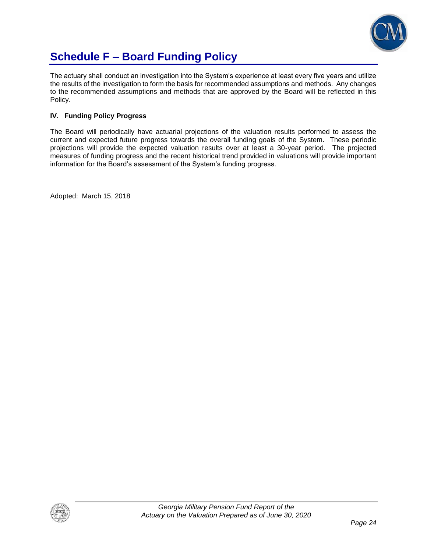

## **Schedule F – Board Funding Policy**

The actuary shall conduct an investigation into the System's experience at least every five years and utilize the results of the investigation to form the basis for recommended assumptions and methods. Any changes to the recommended assumptions and methods that are approved by the Board will be reflected in this Policy.

#### **IV. Funding Policy Progress**

The Board will periodically have actuarial projections of the valuation results performed to assess the current and expected future progress towards the overall funding goals of the System. These periodic projections will provide the expected valuation results over at least a 30-year period. The projected measures of funding progress and the recent historical trend provided in valuations will provide important information for the Board's assessment of the System's funding progress.

Adopted: March 15, 2018

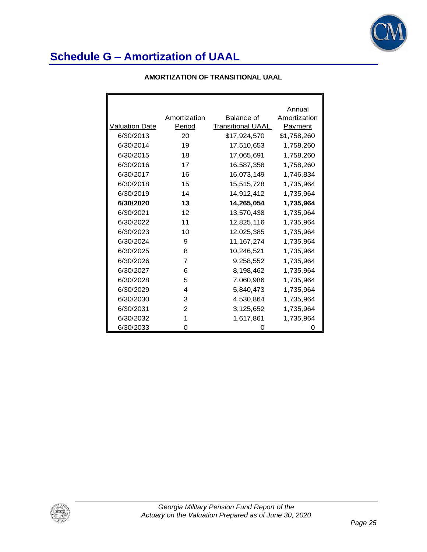

#### **AMORTIZATION OF TRANSITIONAL UAAL**

|                       |                |                          | Annual         |
|-----------------------|----------------|--------------------------|----------------|
|                       | Amortization   | Balance of               | Amortization   |
| <b>Valuation Date</b> | Period         | <b>Transitional UAAL</b> | <b>Payment</b> |
| 6/30/2013             | 20             | \$17,924,570             | \$1,758,260    |
| 6/30/2014             | 19             | 17,510,653               | 1,758,260      |
| 6/30/2015             | 18             | 17,065,691               | 1,758,260      |
| 6/30/2016             | 17             | 16,587,358               | 1,758,260      |
| 6/30/2017             | 16             | 16,073,149               | 1,746,834      |
| 6/30/2018             | 15             | 15,515,728               | 1,735,964      |
| 6/30/2019             | 14             | 14,912,412               | 1,735,964      |
| 6/30/2020             | 13             | 14,265,054               | 1,735,964      |
| 6/30/2021             | 12             | 13,570,438               | 1,735,964      |
| 6/30/2022             | 11             | 12,825,116               | 1,735,964      |
| 6/30/2023             | 10             | 12,025,385               | 1,735,964      |
| 6/30/2024             | 9              | 11,167,274               | 1,735,964      |
| 6/30/2025             | 8              | 10,246,521               | 1,735,964      |
| 6/30/2026             | $\overline{7}$ | 9,258,552                | 1,735,964      |
| 6/30/2027             | 6              | 8,198,462                | 1,735,964      |
| 6/30/2028             | 5              | 7,060,986                | 1,735,964      |
| 6/30/2029             | 4              | 5,840,473                | 1,735,964      |
| 6/30/2030             | 3              | 4,530,864                | 1,735,964      |
| 6/30/2031             | 2              | 3,125,652                | 1,735,964      |
| 6/30/2032             | 1              | 1,617,861                | 1,735,964      |
| 6/30/2033             | Ω              | 0                        | 0              |

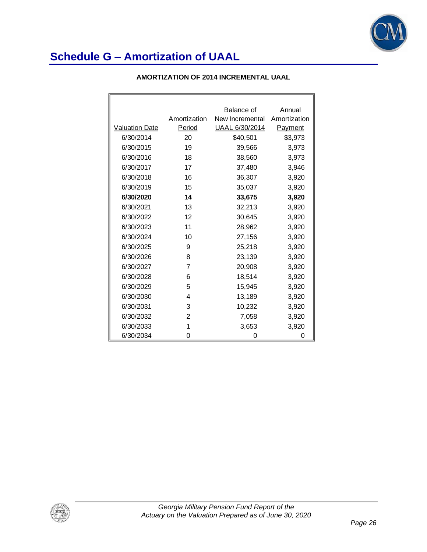

|                       |                | Balance of      | Annual       |
|-----------------------|----------------|-----------------|--------------|
|                       | Amortization   | New Incremental | Amortization |
| <b>Valuation Date</b> | Period         | UAAL 6/30/2014  | Payment      |
| 6/30/2014             | 20             | \$40,501        | \$3,973      |
| 6/30/2015             | 19             | 39,566          | 3,973        |
| 6/30/2016             | 18             | 38,560          | 3,973        |
| 6/30/2017             | 17             | 37,480          | 3,946        |
| 6/30/2018             | 16             | 36,307          | 3,920        |
| 6/30/2019             | 15             | 35,037          | 3,920        |
| 6/30/2020             | 14             | 33,675          | 3,920        |
| 6/30/2021             | 13             | 32,213          | 3,920        |
| 6/30/2022             | 12             | 30,645          | 3,920        |
| 6/30/2023             | 11             | 28,962          | 3,920        |
| 6/30/2024             | 10             | 27,156          | 3,920        |
| 6/30/2025             | 9              | 25,218          | 3,920        |
| 6/30/2026             | 8              | 23,139          | 3,920        |
| 6/30/2027             | 7              | 20,908          | 3,920        |
| 6/30/2028             | 6              | 18,514          | 3,920        |
| 6/30/2029             | 5              | 15,945          | 3,920        |
| 6/30/2030             | 4              | 13,189          | 3,920        |
| 6/30/2031             | 3              | 10,232          | 3,920        |
| 6/30/2032             | $\mathfrak{p}$ | 7,058           | 3,920        |
| 6/30/2033             | 1              | 3,653           | 3,920        |
| 6/30/2034             | 0              | 0               | 0            |

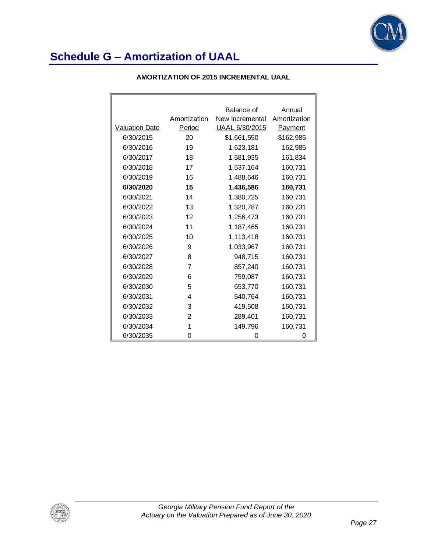

|                |                | Balance of      | Annual       |
|----------------|----------------|-----------------|--------------|
|                | Amortization   | New Incremental | Amortization |
| Valuation Date | Period         | UAAL 6/30/2015  | Payment      |
| 6/30/2015      | 20             | \$1,661,550     | \$162,985    |
| 6/30/2016      | 19             | 1,623,181       | 162,985      |
| 6/30/2017      | 18             | 1,581,935       | 161,834      |
| 6/30/2018      | 17             | 1,537,164       | 160,731      |
| 6/30/2019      | 16             | 1,488,646       | 160,731      |
| 6/30/2020      | 15             | 1,436,586       | 160,731      |
| 6/30/2021      | 14             | 1,380,725       | 160,731      |
| 6/30/2022      | 13             | 1,320,787       | 160,731      |
| 6/30/2023      | 12             | 1,256,473       | 160,731      |
| 6/30/2024      | 11             | 1,187,465       | 160,731      |
| 6/30/2025      | 10             | 1,113,418       | 160,731      |
| 6/30/2026      | 9              | 1,033,967       | 160,731      |
| 6/30/2027      | 8              | 948,715         | 160,731      |
| 6/30/2028      | 7              | 857,240         | 160,731      |
| 6/30/2029      | 6              | 759,087         | 160,731      |
| 6/30/2030      | 5              | 653,770         | 160,731      |
| 6/30/2031      | 4              | 540,764         | 160,731      |
| 6/30/2032      | 3              | 419,508         | 160,731      |
| 6/30/2033      | $\overline{2}$ | 289,401         | 160,731      |
| 6/30/2034      | 1              | 149,796         | 160,731      |
| 6/30/2035      | 0              | 0               | Ω            |

### **AMORTIZATION OF 2015 INCREMENTAL UAAL**

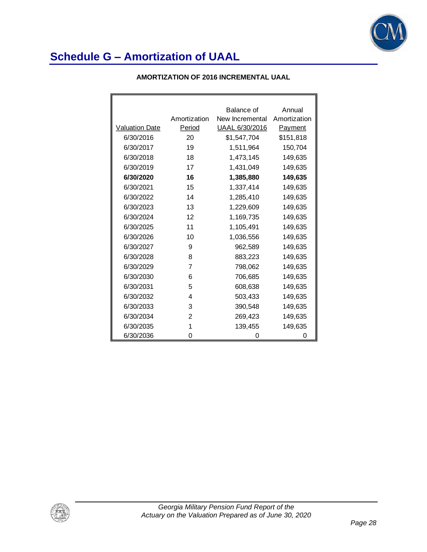

|                       |              | Balance of      | Annual         |
|-----------------------|--------------|-----------------|----------------|
|                       | Amortization | New Incremental | Amortization   |
| <b>Valuation Date</b> | Period       | UAAL 6/30/2016  | <b>Payment</b> |
| 6/30/2016             | 20           | \$1,547,704     | \$151,818      |
| 6/30/2017             | 19           | 1,511,964       | 150,704        |
| 6/30/2018             | 18           | 1,473,145       | 149,635        |
| 6/30/2019             | 17           | 1,431,049       | 149,635        |
| 6/30/2020             | 16           | 1,385,880       | 149,635        |
| 6/30/2021             | 15           | 1,337,414       | 149,635        |
| 6/30/2022             | 14           | 1,285,410       | 149,635        |
| 6/30/2023             | 13           | 1,229,609       | 149,635        |
| 6/30/2024             | 12           | 1,169,735       | 149,635        |
| 6/30/2025             | 11           | 1,105,491       | 149,635        |
| 6/30/2026             | 10           | 1,036,556       | 149,635        |
| 6/30/2027             | 9            | 962,589         | 149,635        |
| 6/30/2028             | 8            | 883,223         | 149,635        |
| 6/30/2029             | 7            | 798,062         | 149,635        |
| 6/30/2030             | 6            | 706,685         | 149,635        |
| 6/30/2031             | 5            | 608,638         | 149,635        |
| 6/30/2032             | 4            | 503,433         | 149,635        |
| 6/30/2033             | 3            | 390,548         | 149,635        |
| 6/30/2034             | 2            | 269,423         | 149,635        |
| 6/30/2035             | 1            | 139,455         | 149,635        |
| 6/30/2036             | 0            | O               | 0              |

### **AMORTIZATION OF 2016 INCREMENTAL UAAL**

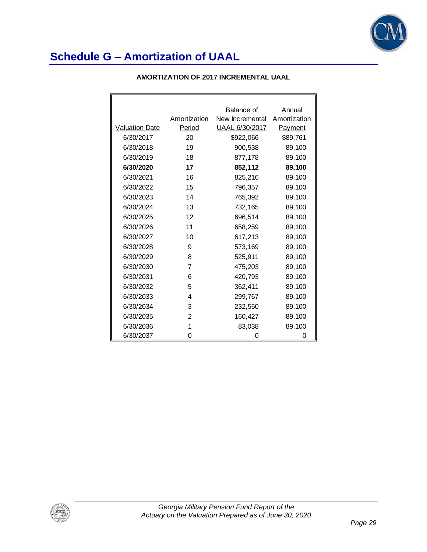

| <b>AMORTIZATION OF 2017 INCREMENTAL UAAL</b> |  |
|----------------------------------------------|--|
|----------------------------------------------|--|

|                       |              | Balance of      | Annual         |
|-----------------------|--------------|-----------------|----------------|
|                       | Amortization | New Incremental | Amortization   |
| <b>Valuation Date</b> | Period       | UAAL 6/30/2017  | <b>Payment</b> |
| 6/30/2017             | 20           | \$922,066       | \$89,761       |
| 6/30/2018             | 19           | 900,538         | 89,100         |
| 6/30/2019             | 18           | 877,178         | 89,100         |
| 6/30/2020             | 17           | 852,112         | 89,100         |
| 6/30/2021             | 16           | 825,216         | 89,100         |
| 6/30/2022             | 15           | 796,357         | 89,100         |
| 6/30/2023             | 14           | 765,392         | 89,100         |
| 6/30/2024             | 13           | 732,165         | 89,100         |
| 6/30/2025             | 12           | 696,514         | 89,100         |
| 6/30/2026             | 11           | 658,259         | 89,100         |
| 6/30/2027             | 10           | 617,213         | 89,100         |
| 6/30/2028             | 9            | 573,169         | 89,100         |
| 6/30/2029             | 8            | 525,911         | 89,100         |
| 6/30/2030             | 7            | 475,203         | 89,100         |
| 6/30/2031             | 6            | 420,793         | 89,100         |
| 6/30/2032             | 5            | 362,411         | 89,100         |
| 6/30/2033             | 4            | 299,767         | 89,100         |
| 6/30/2034             | 3            | 232,550         | 89,100         |
| 6/30/2035             | 2            | 160,427         | 89,100         |
| 6/30/2036             | 1            | 83,038          | 89,100         |
| 6/30/2037             | 0            | 0               | 0              |

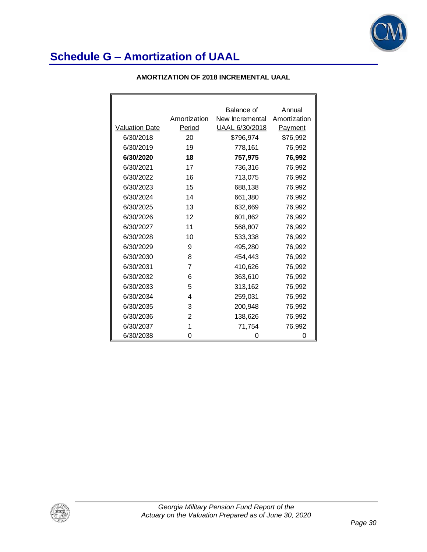

|                       |              | Balance of      | Annual         |
|-----------------------|--------------|-----------------|----------------|
|                       | Amortization | New Incremental | Amortization   |
| <b>Valuation Date</b> | Period       | UAAL 6/30/2018  | <b>Payment</b> |
| 6/30/2018             | 20           | \$796,974       | \$76,992       |
| 6/30/2019             | 19           | 778,161         | 76,992         |
| 6/30/2020             | 18           | 757,975         | 76,992         |
| 6/30/2021             | 17           | 736,316         | 76,992         |
| 6/30/2022             | 16           | 713,075         | 76,992         |
| 6/30/2023             | 15           | 688,138         | 76,992         |
| 6/30/2024             | 14           | 661,380         | 76,992         |
| 6/30/2025             | 13           | 632,669         | 76,992         |
| 6/30/2026             | 12           | 601,862         | 76,992         |
| 6/30/2027             | 11           | 568,807         | 76,992         |
| 6/30/2028             | 10           | 533,338         | 76,992         |
| 6/30/2029             | 9            | 495,280         | 76,992         |
| 6/30/2030             | 8            | 454,443         | 76,992         |
| 6/30/2031             | 7            | 410,626         | 76,992         |
| 6/30/2032             | 6            | 363,610         | 76,992         |
| 6/30/2033             | 5            | 313,162         | 76,992         |
| 6/30/2034             | 4            | 259,031         | 76,992         |
| 6/30/2035             | 3            | 200,948         | 76,992         |
| 6/30/2036             | 2            | 138,626         | 76,992         |
| 6/30/2037             | 1            | 71,754          | 76,992         |
| 6/30/2038             | 0            | 0               | 0              |

#### **AMORTIZATION OF 2018 INCREMENTAL UAAL**

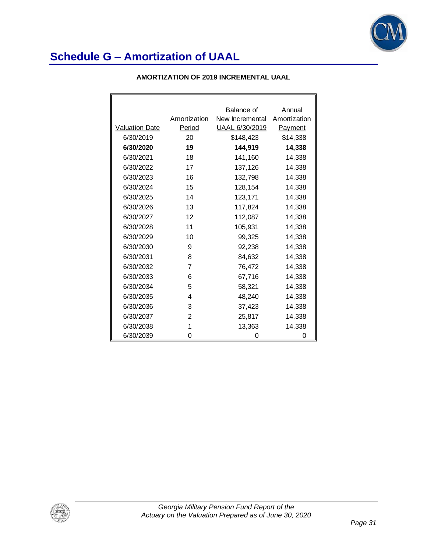

|                       |              | Balance of      | Annual         |
|-----------------------|--------------|-----------------|----------------|
|                       | Amortization | New Incremental | Amortization   |
| <b>Valuation Date</b> | Period       | UAAL 6/30/2019  | <b>Payment</b> |
| 6/30/2019             | 20           | \$148,423       | \$14,338       |
| 6/30/2020             | 19           | 144,919         | 14,338         |
| 6/30/2021             | 18           | 141,160         | 14,338         |
| 6/30/2022             | 17           | 137,126         | 14,338         |
| 6/30/2023             | 16           | 132,798         | 14,338         |
| 6/30/2024             | 15           | 128,154         | 14,338         |
| 6/30/2025             | 14           | 123,171         | 14,338         |
| 6/30/2026             | 13           | 117,824         | 14,338         |
| 6/30/2027             | 12           | 112,087         | 14,338         |
| 6/30/2028             | 11           | 105,931         | 14,338         |
| 6/30/2029             | 10           | 99,325          | 14,338         |
| 6/30/2030             | 9            | 92,238          | 14,338         |
| 6/30/2031             | 8            | 84,632          | 14,338         |
| 6/30/2032             | 7            | 76,472          | 14,338         |
| 6/30/2033             | 6            | 67,716          | 14,338         |
| 6/30/2034             | 5            | 58,321          | 14,338         |
| 6/30/2035             | 4            | 48,240          | 14,338         |
| 6/30/2036             | 3            | 37,423          | 14,338         |
| 6/30/2037             | 2            | 25,817          | 14,338         |
| 6/30/2038             | 1            | 13,363          | 14,338         |
| 6/30/2039             | 0            | 0               | 0              |

#### **AMORTIZATION OF 2019 INCREMENTAL UAAL**

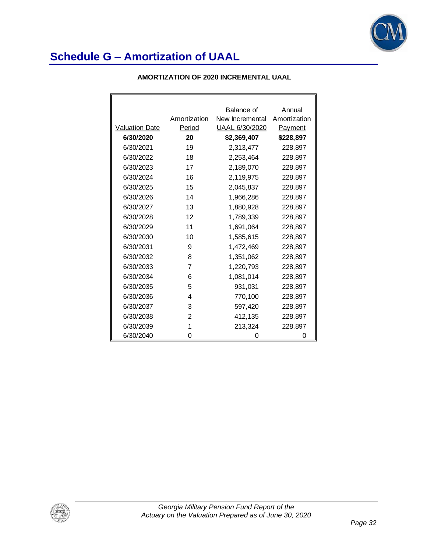

|  | AMORTIZATION OF 2020 INCREMENTAL UAAL |
|--|---------------------------------------|
|--|---------------------------------------|

|                       |              | Balance of      | Annual         |
|-----------------------|--------------|-----------------|----------------|
|                       | Amortization | New Incremental | Amortization   |
| <b>Valuation Date</b> | Period       | UAAL 6/30/2020  | <b>Payment</b> |
| 6/30/2020             | 20           | \$2,369,407     | \$228,897      |
| 6/30/2021             | 19           | 2,313,477       | 228,897        |
| 6/30/2022             | 18           | 2,253,464       | 228,897        |
| 6/30/2023             | 17           | 2,189,070       | 228,897        |
| 6/30/2024             | 16           | 2,119,975       | 228,897        |
| 6/30/2025             | 15           | 2,045,837       | 228,897        |
| 6/30/2026             | 14           | 1,966,286       | 228,897        |
| 6/30/2027             | 13           | 1,880,928       | 228,897        |
| 6/30/2028             | 12           | 1,789,339       | 228,897        |
| 6/30/2029             | 11           | 1,691,064       | 228,897        |
| 6/30/2030             | 10           | 1,585,615       | 228,897        |
| 6/30/2031             | 9            | 1,472,469       | 228,897        |
| 6/30/2032             | 8            | 1,351,062       | 228,897        |
| 6/30/2033             | 7            | 1,220,793       | 228,897        |
| 6/30/2034             | 6            | 1,081,014       | 228,897        |
| 6/30/2035             | 5            | 931,031         | 228,897        |
| 6/30/2036             | 4            | 770,100         | 228,897        |
| 6/30/2037             | 3            | 597,420         | 228,897        |
| 6/30/2038             | 2            | 412,135         | 228,897        |
| 6/30/2039             | 1            | 213,324         | 228,897        |
| 6/30/2040             | 0            | O               | 0              |

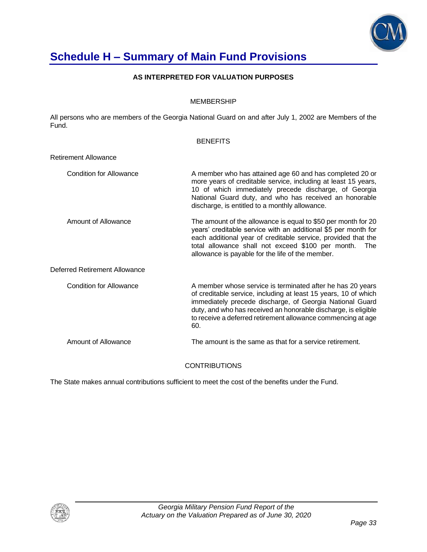

## **Schedule H – Summary of Main Fund Provisions**

#### **AS INTERPRETED FOR VALUATION PURPOSES**

#### MEMBERSHIP

All persons who are members of the Georgia National Guard on and after July 1, 2002 are Members of the Fund.

#### **BENEFITS**

Retirement Allowance

| <b>Condition for Allowance</b> | A member who has attained age 60 and has completed 20 or<br>more years of creditable service, including at least 15 years,<br>10 of which immediately precede discharge, of Georgia<br>National Guard duty, and who has received an honorable<br>discharge, is entitled to a monthly allowance.                                    |
|--------------------------------|------------------------------------------------------------------------------------------------------------------------------------------------------------------------------------------------------------------------------------------------------------------------------------------------------------------------------------|
| Amount of Allowance            | The amount of the allowance is equal to \$50 per month for 20<br>years' creditable service with an additional \$5 per month for<br>each additional year of creditable service, provided that the<br>total allowance shall not exceed \$100 per month.<br><b>The</b><br>allowance is payable for the life of the member.            |
| Deferred Retirement Allowance  |                                                                                                                                                                                                                                                                                                                                    |
| <b>Condition for Allowance</b> | A member whose service is terminated after he has 20 years<br>of creditable service, including at least 15 years, 10 of which<br>immediately precede discharge, of Georgia National Guard<br>duty, and who has received an honorable discharge, is eligible<br>to receive a deferred retirement allowance commencing at age<br>60. |
| Amount of Allowance            | The amount is the same as that for a service retirement.                                                                                                                                                                                                                                                                           |

#### **CONTRIBUTIONS**

The State makes annual contributions sufficient to meet the cost of the benefits under the Fund.

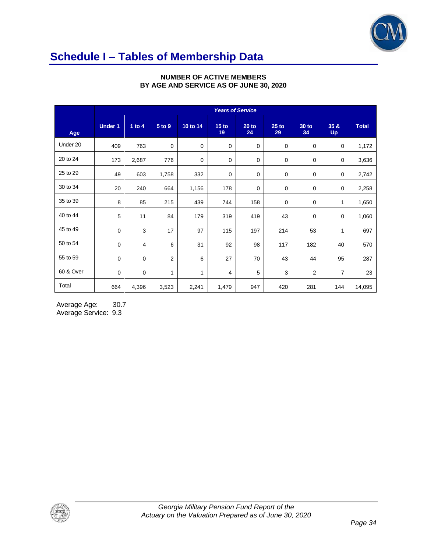

# **Schedule I – Tables of Membership Data**

|           | <b>Years of Service</b> |             |                |             |                        |               |               |                    |                   |              |
|-----------|-------------------------|-------------|----------------|-------------|------------------------|---------------|---------------|--------------------|-------------------|--------------|
| Age       | <b>Under 1</b>          | 1 to $4$    | 5 to 9         | 10 to 14    | 15 <sub>to</sub><br>19 | $20$ to<br>24 | $25$ to<br>29 | <b>30 to</b><br>34 | 35 &<br><b>Up</b> | <b>Total</b> |
| Under 20  | 409                     | 763         | 0              | $\mathbf 0$ | $\mathbf 0$            | 0             | 0             | 0                  | 0                 | 1,172        |
| 20 to 24  | 173                     | 2,687       | 776            | $\mathbf 0$ | 0                      | 0             | 0             | 0                  | 0                 | 3,636        |
| 25 to 29  | 49                      | 603         | 1,758          | 332         | 0                      | 0             | $\mathbf 0$   | 0                  | 0                 | 2,742        |
| 30 to 34  | 20                      | 240         | 664            | 1,156       | 178                    | 0             | 0             | 0                  | 0                 | 2,258        |
| 35 to 39  | 8                       | 85          | 215            | 439         | 744                    | 158           | $\mathbf 0$   | 0                  | 1                 | 1,650        |
| 40 to 44  | 5                       | 11          | 84             | 179         | 319                    | 419           | 43            | 0                  | 0                 | 1,060        |
| 45 to 49  | $\mathbf 0$             | 3           | 17             | 97          | 115                    | 197           | 214           | 53                 | 1                 | 697          |
| 50 to 54  | $\mathbf 0$             | 4           | 6              | 31          | 92                     | 98            | 117           | 182                | 40                | 570          |
| 55 to 59  | $\mathbf 0$             | $\mathbf 0$ | $\overline{2}$ | 6           | 27                     | 70            | 43            | 44                 | 95                | 287          |
| 60 & Over | $\mathbf 0$             | $\mathbf 0$ | $\mathbf{1}$   | 1           | 4                      | 5             | 3             | $\overline{2}$     | $\overline{7}$    | 23           |
| Total     | 664                     | 4,396       | 3,523          | 2,241       | 1,479                  | 947           | 420           | 281                | 144               | 14,095       |

#### **NUMBER OF ACTIVE MEMBERS BY AGE AND SERVICE AS OF JUNE 30, 2020**

Average Age: 30.7 Average Service: 9.3

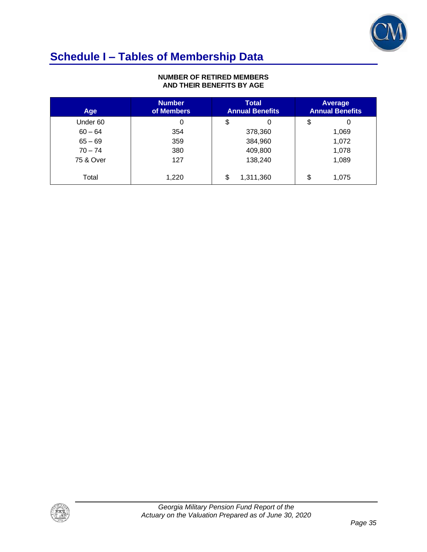

# **Schedule I – Tables of Membership Data**

#### **NUMBER OF RETIRED MEMBERS AND THEIR BENEFITS BY AGE**

| Age       | <b>Number</b><br>of Members | <b>Total</b><br><b>Annual Benefits</b> | Average<br><b>Annual Benefits</b> |
|-----------|-----------------------------|----------------------------------------|-----------------------------------|
| Under 60  | 0                           | \$                                     | \$<br>0                           |
| $60 - 64$ | 354                         | 378,360                                | 1,069                             |
| $65 - 69$ | 359                         | 384,960                                | 1,072                             |
| $70 - 74$ | 380                         | 409,800                                | 1,078                             |
| 75 & Over | 127                         | 138,240                                | 1,089                             |
| Total     | 1,220                       | \$<br>1,311,360                        | \$<br>1,075                       |